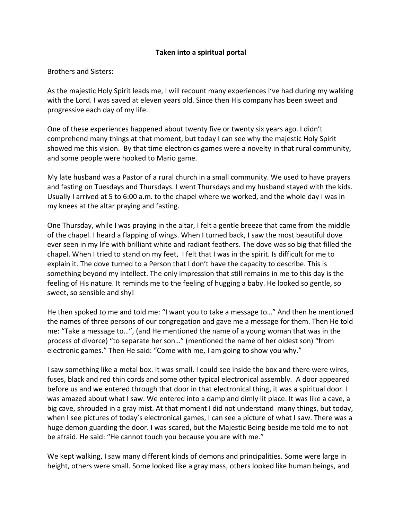## **Taken into a spiritual portal**

Brothers and Sisters:

As the majestic Holy Spirit leads me, I will recount many experiences I've had during my walking with the Lord. I was saved at eleven years old. Since then His company has been sweet and progressive each day of my life.

One of these experiences happened about twenty five or twenty six years ago. I didn't comprehend many things at that moment, but today I can see why the majestic Holy Spirit showed me this vision. By that time electronics games were a novelty in that rural community, and some people were hooked to Mario game.

My late husband was a Pastor of a rural church in a small community. We used to have prayers and fasting on Tuesdays and Thursdays. I went Thursdays and my husband stayed with the kids. Usually I arrived at 5 to 6:00 a.m. to the chapel where we worked, and the whole day I was in my knees at the altar praying and fasting.

One Thursday, while I was praying in the altar, I felt a gentle breeze that came from the middle of the chapel. I heard a flapping of wings. When I turned back, I saw the most beautiful dove ever seen in my life with brilliant white and radiant feathers. The dove was so big that filled the chapel. When I tried to stand on my feet, I felt that I was in the spirit. Is difficult for me to explain it. The dove turned to a Person that I don't have the capacity to describe. This is something beyond my intellect. The only impression that still remains in me to this day is the feeling of His nature. It reminds me to the feeling of hugging a baby. He looked so gentle, so sweet, so sensible and shy!

He then spoked to me and told me: "I want you to take a message to…" And then he mentioned the names of three persons of our congregation and gave me a message for them. Then He told me: "Take a message to…", (and He mentioned the name of a young woman that was in the process of divorce) "to separate her son…" (mentioned the name of her oldest son) "from electronic games." Then He said: "Come with me, I am going to show you why."

I saw something like a metal box. It was small. I could see inside the box and there were wires, fuses, black and red thin cords and some other typical electronical assembly. A door appeared before us and we entered through that door in that electronical thing, it was a spiritual door. I was amazed about what I saw. We entered into a damp and dimly lit place. It was like a cave, a big cave, shrouded in a gray mist. At that moment I did not understand many things, but today, when I see pictures of today's electronical games, I can see a picture of what I saw. There was a huge demon guarding the door. I was scared, but the Majestic Being beside me told me to not be afraid. He said: "He cannot touch you because you are with me."

We kept walking, I saw many different kinds of demons and principalities. Some were large in height, others were small. Some looked like a gray mass, others looked like human beings, and